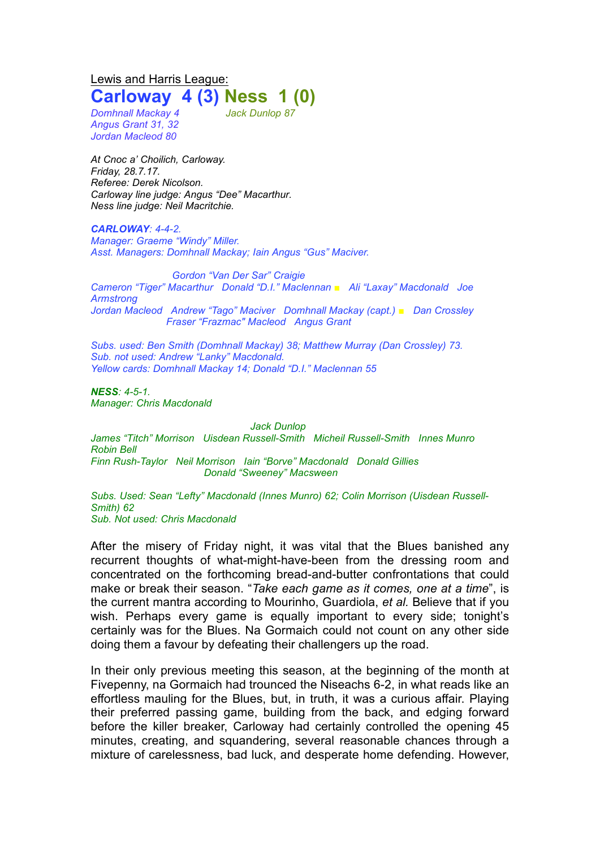Lewis and Harris League: **Carloway 4 (3) Ness 1 (0)**

*Domhnall Mackay 4 Jack Dunlop 87 Angus Grant 31, 32 Jordan Macleod 80*

*At Cnoc a' Choilich, Carloway. Friday, 28.7.17. Referee: Derek Nicolson. Carloway line judge: Angus "Dee" Macarthur. Ness line judge: Neil Macritchie.*

*CARLOWAY: 4-4-2. Manager: Graeme "Windy" Miller. Asst. Managers: Domhnall Mackay; Iain Angus "Gus" Maciver.*

*Gordon "Van Der Sar" Craigie Cameron "Tiger" Macarthur Donald "D.I." Maclennan ■ Ali "Laxay" Macdonald Joe Armstrong Jordan Macleod Andrew "Tago" Maciver Domhnall Mackay (capt.) ■ Dan Crossley Fraser "Frazmac" Macleod Angus Grant*

*Subs. used: Ben Smith (Domhnall Mackay) 38; Matthew Murray (Dan Crossley) 73. Sub. not used: Andrew "Lanky" Macdonald. Yellow cards: Domhnall Mackay 14; Donald "D.I." Maclennan 55*

*NESS: 4-5-1. Manager: Chris Macdonald*

*Jack Dunlop*

*James "Titch" Morrison Uisdean Russell-Smith Micheil Russell-Smith Innes Munro Robin Bell Finn Rush-Taylor Neil Morrison Iain "Borve" Macdonald Donald Gillies Donald "Sweeney" Macsween*

*Subs. Used: Sean "Lefty" Macdonald (Innes Munro) 62; Colin Morrison (Uisdean Russell-Smith) 62 Sub. Not used: Chris Macdonald*

After the misery of Friday night, it was vital that the Blues banished any recurrent thoughts of what-might-have-been from the dressing room and concentrated on the forthcoming bread-and-butter confrontations that could make or break their season. "*Take each game as it comes, one at a time*", is the current mantra according to Mourinho, Guardiola, *et al.* Believe that if you wish. Perhaps every game is equally important to every side; tonight's certainly was for the Blues. Na Gormaich could not count on any other side doing them a favour by defeating their challengers up the road.

In their only previous meeting this season, at the beginning of the month at Fivepenny, na Gormaich had trounced the Niseachs 6-2, in what reads like an effortless mauling for the Blues, but, in truth, it was a curious affair. Playing their preferred passing game, building from the back, and edging forward before the killer breaker, Carloway had certainly controlled the opening 45 minutes, creating, and squandering, several reasonable chances through a mixture of carelessness, bad luck, and desperate home defending. However,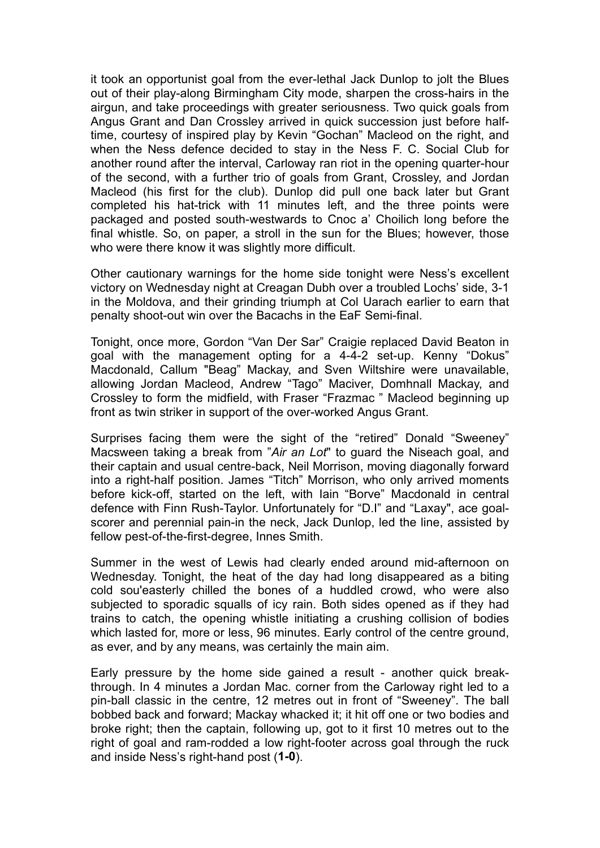it took an opportunist goal from the ever-lethal Jack Dunlop to jolt the Blues out of their play-along Birmingham City mode, sharpen the cross-hairs in the airgun, and take proceedings with greater seriousness. Two quick goals from Angus Grant and Dan Crossley arrived in quick succession just before halftime, courtesy of inspired play by Kevin "Gochan" Macleod on the right, and when the Ness defence decided to stay in the Ness F. C. Social Club for another round after the interval, Carloway ran riot in the opening quarter-hour of the second, with a further trio of goals from Grant, Crossley, and Jordan Macleod (his first for the club). Dunlop did pull one back later but Grant completed his hat-trick with 11 minutes left, and the three points were packaged and posted south-westwards to Cnoc a' Choilich long before the final whistle. So, on paper, a stroll in the sun for the Blues; however, those who were there know it was slightly more difficult.

Other cautionary warnings for the home side tonight were Ness's excellent victory on Wednesday night at Creagan Dubh over a troubled Lochs' side, 3-1 in the Moldova, and their grinding triumph at Col Uarach earlier to earn that penalty shoot-out win over the Bacachs in the EaF Semi-final.

Tonight, once more, Gordon "Van Der Sar" Craigie replaced David Beaton in goal with the management opting for a 4-4-2 set-up. Kenny "Dokus" Macdonald, Callum "Beag" Mackay, and Sven Wiltshire were unavailable, allowing Jordan Macleod, Andrew "Tago" Maciver, Domhnall Mackay, and Crossley to form the midfield, with Fraser "Frazmac " Macleod beginning up front as twin striker in support of the over-worked Angus Grant.

Surprises facing them were the sight of the "retired" Donald "Sweeney" Macsween taking a break from "*Air an Lot*" to guard the Niseach goal, and their captain and usual centre-back, Neil Morrison, moving diagonally forward into a right-half position. James "Titch" Morrison, who only arrived moments before kick-off, started on the left, with Iain "Borve" Macdonald in central defence with Finn Rush-Taylor. Unfortunately for "D.I" and "Laxay", ace goalscorer and perennial pain-in the neck, Jack Dunlop, led the line, assisted by fellow pest-of-the-first-degree, Innes Smith.

Summer in the west of Lewis had clearly ended around mid-afternoon on Wednesday. Tonight, the heat of the day had long disappeared as a biting cold sou'easterly chilled the bones of a huddled crowd, who were also subjected to sporadic squalls of icy rain. Both sides opened as if they had trains to catch, the opening whistle initiating a crushing collision of bodies which lasted for, more or less, 96 minutes. Early control of the centre ground, as ever, and by any means, was certainly the main aim.

Early pressure by the home side gained a result - another quick breakthrough. In 4 minutes a Jordan Mac. corner from the Carloway right led to a pin-ball classic in the centre, 12 metres out in front of "Sweeney". The ball bobbed back and forward; Mackay whacked it; it hit off one or two bodies and broke right; then the captain, following up, got to it first 10 metres out to the right of goal and ram-rodded a low right-footer across goal through the ruck and inside Ness's right-hand post (**1-0**).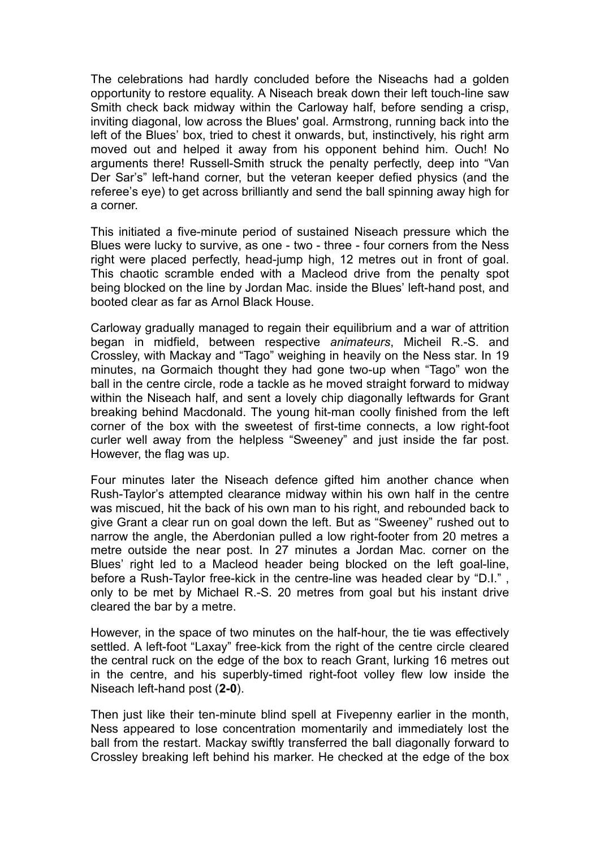The celebrations had hardly concluded before the Niseachs had a golden opportunity to restore equality. A Niseach break down their left touch-line saw Smith check back midway within the Carloway half, before sending a crisp, inviting diagonal, low across the Blues' goal. Armstrong, running back into the left of the Blues' box, tried to chest it onwards, but, instinctively, his right arm moved out and helped it away from his opponent behind him. Ouch! No arguments there! Russell-Smith struck the penalty perfectly, deep into "Van Der Sar's" left-hand corner, but the veteran keeper defied physics (and the referee's eye) to get across brilliantly and send the ball spinning away high for a corner.

This initiated a five-minute period of sustained Niseach pressure which the Blues were lucky to survive, as one - two - three - four corners from the Ness right were placed perfectly, head-jump high, 12 metres out in front of goal. This chaotic scramble ended with a Macleod drive from the penalty spot being blocked on the line by Jordan Mac. inside the Blues' left-hand post, and booted clear as far as Arnol Black House.

Carloway gradually managed to regain their equilibrium and a war of attrition began in midfield, between respective *animateurs*, Micheil R.-S. and Crossley, with Mackay and "Tago" weighing in heavily on the Ness star. In 19 minutes, na Gormaich thought they had gone two-up when "Tago" won the ball in the centre circle, rode a tackle as he moved straight forward to midway within the Niseach half, and sent a lovely chip diagonally leftwards for Grant breaking behind Macdonald. The young hit-man coolly finished from the left corner of the box with the sweetest of first-time connects, a low right-foot curler well away from the helpless "Sweeney" and just inside the far post. However, the flag was up.

Four minutes later the Niseach defence gifted him another chance when Rush-Taylor's attempted clearance midway within his own half in the centre was miscued, hit the back of his own man to his right, and rebounded back to give Grant a clear run on goal down the left. But as "Sweeney" rushed out to narrow the angle, the Aberdonian pulled a low right-footer from 20 metres a metre outside the near post. In 27 minutes a Jordan Mac. corner on the Blues' right led to a Macleod header being blocked on the left goal-line, before a Rush-Taylor free-kick in the centre-line was headed clear by "D.I." only to be met by Michael R.-S. 20 metres from goal but his instant drive cleared the bar by a metre.

However, in the space of two minutes on the half-hour, the tie was effectively settled. A left-foot "Laxay" free-kick from the right of the centre circle cleared the central ruck on the edge of the box to reach Grant, lurking 16 metres out in the centre, and his superbly-timed right-foot volley flew low inside the Niseach left-hand post (**2-0**).

Then just like their ten-minute blind spell at Fivepenny earlier in the month, Ness appeared to lose concentration momentarily and immediately lost the ball from the restart. Mackay swiftly transferred the ball diagonally forward to Crossley breaking left behind his marker. He checked at the edge of the box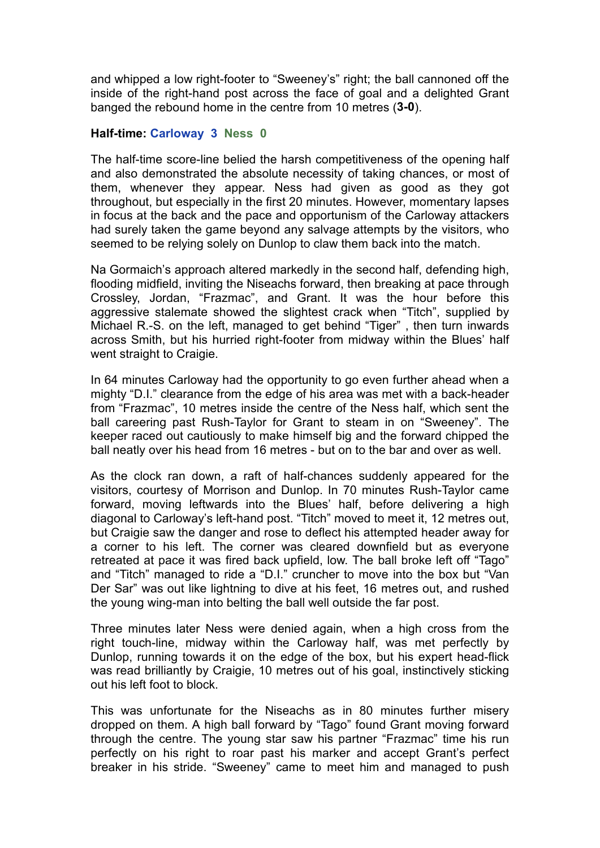and whipped a low right-footer to "Sweeney's" right; the ball cannoned off the inside of the right-hand post across the face of goal and a delighted Grant banged the rebound home in the centre from 10 metres (**3-0**).

## **Half-time: Carloway 3 Ness 0**

The half-time score-line belied the harsh competitiveness of the opening half and also demonstrated the absolute necessity of taking chances, or most of them, whenever they appear. Ness had given as good as they got throughout, but especially in the first 20 minutes. However, momentary lapses in focus at the back and the pace and opportunism of the Carloway attackers had surely taken the game beyond any salvage attempts by the visitors, who seemed to be relying solely on Dunlop to claw them back into the match.

Na Gormaich's approach altered markedly in the second half, defending high, flooding midfield, inviting the Niseachs forward, then breaking at pace through Crossley, Jordan, "Frazmac", and Grant. It was the hour before this aggressive stalemate showed the slightest crack when "Titch", supplied by Michael R.-S. on the left, managed to get behind "Tiger" , then turn inwards across Smith, but his hurried right-footer from midway within the Blues' half went straight to Craigie.

In 64 minutes Carloway had the opportunity to go even further ahead when a mighty "D.I." clearance from the edge of his area was met with a back-header from "Frazmac", 10 metres inside the centre of the Ness half, which sent the ball careering past Rush-Taylor for Grant to steam in on "Sweeney". The keeper raced out cautiously to make himself big and the forward chipped the ball neatly over his head from 16 metres - but on to the bar and over as well.

As the clock ran down, a raft of half-chances suddenly appeared for the visitors, courtesy of Morrison and Dunlop. In 70 minutes Rush-Taylor came forward, moving leftwards into the Blues' half, before delivering a high diagonal to Carloway's left-hand post. "Titch" moved to meet it, 12 metres out, but Craigie saw the danger and rose to deflect his attempted header away for a corner to his left. The corner was cleared downfield but as everyone retreated at pace it was fired back upfield, low. The ball broke left off "Tago" and "Titch" managed to ride a "D.I." cruncher to move into the box but "Van Der Sar" was out like lightning to dive at his feet, 16 metres out, and rushed the young wing-man into belting the ball well outside the far post.

Three minutes later Ness were denied again, when a high cross from the right touch-line, midway within the Carloway half, was met perfectly by Dunlop, running towards it on the edge of the box, but his expert head-flick was read brilliantly by Craigie, 10 metres out of his goal, instinctively sticking out his left foot to block.

This was unfortunate for the Niseachs as in 80 minutes further misery dropped on them. A high ball forward by "Tago" found Grant moving forward through the centre. The young star saw his partner "Frazmac" time his run perfectly on his right to roar past his marker and accept Grant's perfect breaker in his stride. "Sweeney" came to meet him and managed to push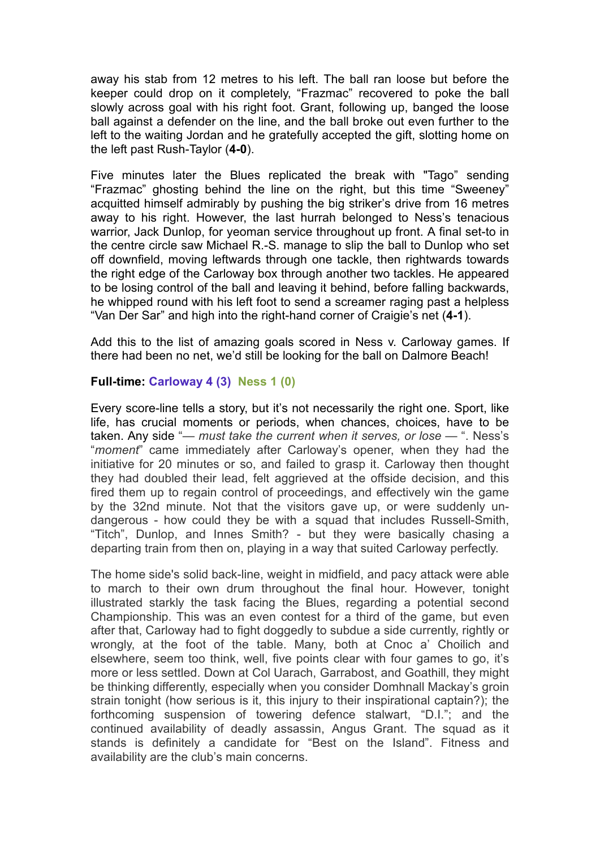away his stab from 12 metres to his left. The ball ran loose but before the keeper could drop on it completely, "Frazmac" recovered to poke the ball slowly across goal with his right foot. Grant, following up, banged the loose ball against a defender on the line, and the ball broke out even further to the left to the waiting Jordan and he gratefully accepted the gift, slotting home on the left past Rush-Taylor (**4-0**).

Five minutes later the Blues replicated the break with "Tago" sending "Frazmac" ghosting behind the line on the right, but this time "Sweeney" acquitted himself admirably by pushing the big striker's drive from 16 metres away to his right. However, the last hurrah belonged to Ness's tenacious warrior, Jack Dunlop, for yeoman service throughout up front. A final set-to in the centre circle saw Michael R.-S. manage to slip the ball to Dunlop who set off downfield, moving leftwards through one tackle, then rightwards towards the right edge of the Carloway box through another two tackles. He appeared to be losing control of the ball and leaving it behind, before falling backwards, he whipped round with his left foot to send a screamer raging past a helpless "Van Der Sar" and high into the right-hand corner of Craigie's net (**4-1**).

Add this to the list of amazing goals scored in Ness v. Carloway games. If there had been no net, we'd still be looking for the ball on Dalmore Beach!

## **Full-time: Carloway 4 (3) Ness 1 (0)**

Every score-line tells a story, but it's not necessarily the right one. Sport, like life, has crucial moments or periods, when chances, choices, have to be taken. Any side "*— must take the current when it serves, or lose —* ". Ness's "*moment*" came immediately after Carloway's opener, when they had the initiative for 20 minutes or so, and failed to grasp it. Carloway then thought they had doubled their lead, felt aggrieved at the offside decision, and this fired them up to regain control of proceedings, and effectively win the game by the 32nd minute. Not that the visitors gave up, or were suddenly undangerous - how could they be with a squad that includes Russell-Smith, "Titch", Dunlop, and Innes Smith? - but they were basically chasing a departing train from then on, playing in a way that suited Carloway perfectly.

The home side's solid back-line, weight in midfield, and pacy attack were able to march to their own drum throughout the final hour. However, tonight illustrated starkly the task facing the Blues, regarding a potential second Championship. This was an even contest for a third of the game, but even after that, Carloway had to fight doggedly to subdue a side currently, rightly or wrongly, at the foot of the table. Many, both at Cnoc a' Choilich and elsewhere, seem too think, well, five points clear with four games to go, it's more or less settled. Down at Col Uarach, Garrabost, and Goathill, they might be thinking differently, especially when you consider Domhnall Mackay's groin strain tonight (how serious is it, this injury to their inspirational captain?); the forthcoming suspension of towering defence stalwart, "D.I."; and the continued availability of deadly assassin, Angus Grant. The squad as it stands is definitely a candidate for "Best on the Island". Fitness and availability are the club's main concerns.